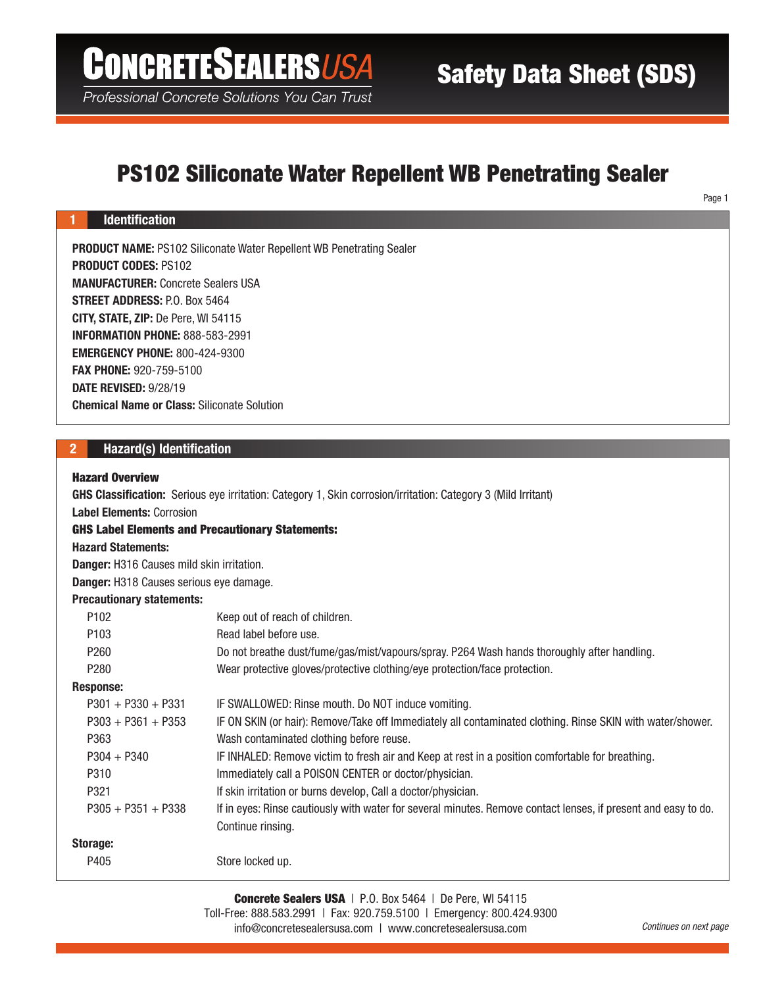# **CONCRETESEALERSUSA**

Professional Concrete Solutions You Can Trust

# PS102 Siliconate Water Repellent WB Penetrating Sealer

Page 1

# PRODUCT NAME: PS102 Siliconate Water Repellent WB Penetrating Sealer PRODUCT CODES: PS102 MANUFACTURER: Concrete Sealers USA STREET ADDRESS: P.O. Box 5464 CITY, STATE, ZIP: De Pere, WI 54115 INFORMATION PHONE: 888-583-2991 EMERGENCY PHONE: 800-424-9300 FAX PHONE: 920-759-5100 DATE REVISED: 9/28/19 Chemical Name or Class: Siliconate Solution

# 2 Hazard(s) Identification

#### Hazard Overview

1 Identification

GHS Classification: Serious eye irritation: Category 1, Skin corrosion/irritation: Category 3 (Mild Irritant) Label Elements: Corrosion GHS Label Elements and Precautionary Statements: Hazard Statements: Danger: H316 Causes mild skin irritation. Danger: H318 Causes serious eye damage. Precautionary statements: P102 Keep out of reach of children. P103 Read label before use. P260 Do not breathe dust/fume/gas/mist/vapours/spray. P264 Wash hands thoroughly after handling. P280 Wear protective gloves/protective clothing/eye protection/face protection. Response: P301 + P330 + P331 IF SWALLOWED: Rinse mouth. Do NOT induce vomiting. P303 + P361 + P353 IF ON SKIN (or hair): Remove/Take off Immediately all contaminated clothing. Rinse SKIN with water/shower. P363 Wash contaminated clothing before reuse. P304 + P340 IF INHALED: Remove victim to fresh air and Keep at rest in a position comfortable for breathing. P310 Immediately call a POISON CENTER or doctor/physician. P321 **If skin irritation or burns develop, Call a doctor/physician.** P305 + P351 + P338 If in eyes: Rinse cautiously with water for several minutes. Remove contact lenses, if present and easy to do. Continue rinsing. Storage: P405 Store locked up.

> Concrete Sealers USA | P.O. Box 5464 | De Pere, WI 54115 Toll-Free: 888.583.2991 | Fax: 920.759.5100 | Emergency: 800.424.9300 info@concretesealersusa.com | www.concretesealersusa.com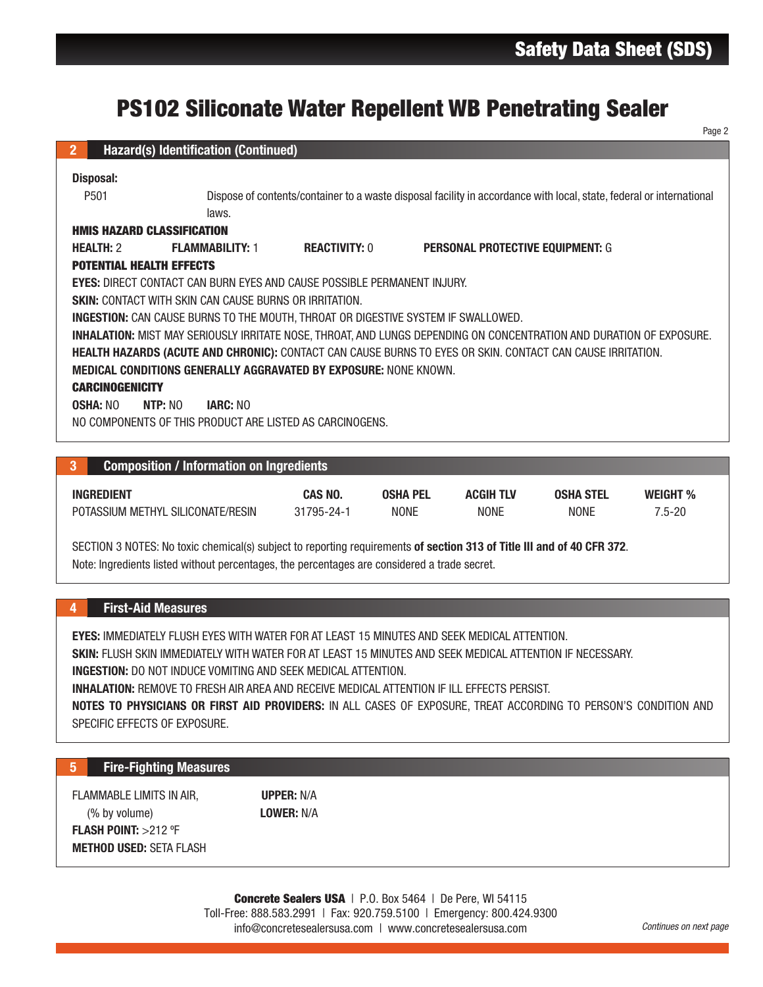# PS102 Siliconate Water Repellent WB Penetrating Sealer

| <b>PS102 Siliconate Water Repellent WB Penetrating Sealer</b>                                                          |                                                                                                                      |                 |                                         |                  |                 |  |  |  |
|------------------------------------------------------------------------------------------------------------------------|----------------------------------------------------------------------------------------------------------------------|-----------------|-----------------------------------------|------------------|-----------------|--|--|--|
|                                                                                                                        |                                                                                                                      |                 |                                         |                  | Page 2          |  |  |  |
| <b>Hazard(s) Identification (Continued)</b><br>$\overline{2}$                                                          |                                                                                                                      |                 |                                         |                  |                 |  |  |  |
| <b>Disposal:</b>                                                                                                       |                                                                                                                      |                 |                                         |                  |                 |  |  |  |
| P501<br>laws.                                                                                                          | Dispose of contents/container to a waste disposal facility in accordance with local, state, federal or international |                 |                                         |                  |                 |  |  |  |
| <b>HMIS HAZARD CLASSIFICATION</b>                                                                                      |                                                                                                                      |                 |                                         |                  |                 |  |  |  |
| <b>HEALTH: 2</b><br><b>FLAMMABILITY: 1</b>                                                                             | <b>REACTIVITY: 0</b>                                                                                                 |                 | <b>PERSONAL PROTECTIVE EQUIPMENT: G</b> |                  |                 |  |  |  |
| <b>POTENTIAL HEALTH EFFECTS</b>                                                                                        |                                                                                                                      |                 |                                         |                  |                 |  |  |  |
| <b>EYES: DIRECT CONTACT CAN BURN EYES AND CAUSE POSSIBLE PERMANENT INJURY.</b>                                         |                                                                                                                      |                 |                                         |                  |                 |  |  |  |
|                                                                                                                        | <b>SKIN: CONTACT WITH SKIN CAN CAUSE BURNS OR IRRITATION.</b>                                                        |                 |                                         |                  |                 |  |  |  |
| <b>INGESTION:</b> CAN CAUSE BURNS TO THE MOUTH, THROAT OR DIGESTIVE SYSTEM IF SWALLOWED.                               |                                                                                                                      |                 |                                         |                  |                 |  |  |  |
|                                                                                                                        | INHALATION: MIST MAY SERIOUSLY IRRITATE NOSE, THROAT, AND LUNGS DEPENDING ON CONCENTRATION AND DURATION OF EXPOSURE. |                 |                                         |                  |                 |  |  |  |
| HEALTH HAZARDS (ACUTE AND CHRONIC): CONTACT CAN CAUSE BURNS TO EYES OR SKIN. CONTACT CAN CAUSE IRRITATION.             |                                                                                                                      |                 |                                         |                  |                 |  |  |  |
| <b>MEDICAL CONDITIONS GENERALLY AGGRAVATED BY EXPOSURE: NONE KNOWN.</b>                                                |                                                                                                                      |                 |                                         |                  |                 |  |  |  |
| <b>CARCINOGENICITY</b>                                                                                                 |                                                                                                                      |                 |                                         |                  |                 |  |  |  |
| <b>OSHA: NO</b><br>NTP: N()<br><b>IARC: NO</b>                                                                         |                                                                                                                      |                 |                                         |                  |                 |  |  |  |
| NO COMPONENTS OF THIS PRODUCT ARE LISTED AS CARCINOGENS.                                                               |                                                                                                                      |                 |                                         |                  |                 |  |  |  |
|                                                                                                                        |                                                                                                                      |                 |                                         |                  |                 |  |  |  |
| <b>Composition / Information on Ingredients</b><br>3                                                                   |                                                                                                                      |                 |                                         |                  |                 |  |  |  |
| <b>INGREDIENT</b>                                                                                                      | CAS NO.                                                                                                              | <b>OSHA PEL</b> | <b>ACGIH TLV</b>                        | <b>OSHA STEL</b> | <b>WEIGHT %</b> |  |  |  |
| POTASSIUM METHYL SILICONATE/RESIN                                                                                      | 31795-24-1                                                                                                           | <b>NONE</b>     | <b>NONE</b>                             | <b>NONE</b>      | $7.5 - 20$      |  |  |  |
|                                                                                                                        |                                                                                                                      |                 |                                         |                  |                 |  |  |  |
| SECTION 3 NOTES: No toxic chemical(s) subject to reporting requirements of section 313 of Title III and of 40 CFR 372. |                                                                                                                      |                 |                                         |                  |                 |  |  |  |
| Note: Ingredients listed without percentages, the percentages are considered a trade secret.                           |                                                                                                                      |                 |                                         |                  |                 |  |  |  |
|                                                                                                                        |                                                                                                                      |                 |                                         |                  |                 |  |  |  |
| <b>First-Aid Measures</b><br>4                                                                                         |                                                                                                                      |                 |                                         |                  |                 |  |  |  |
|                                                                                                                        |                                                                                                                      |                 |                                         |                  |                 |  |  |  |
| <b>EYES: IMMEDIATELY FLUSH EYES WITH WATER FOR AT LEAST 15 MINUTES AND SEEK MEDICAL ATTENTION.</b>                     |                                                                                                                      |                 |                                         |                  |                 |  |  |  |
| <b>SKIN:</b> FLUSH SKIN IMMEDIATELY WITH WATER FOR AT LEAST 15 MINUTES AND SEEK MEDICAL ATTENTION IF NECESSARY.        |                                                                                                                      |                 |                                         |                  |                 |  |  |  |
| <b>INGESTION:</b> DO NOT INDUCE VOMITING AND SEEK MEDICAL ATTENTION.                                                   |                                                                                                                      |                 |                                         |                  |                 |  |  |  |
| <b>INHALATION: REMOVE TO FRESH AIR AREA AND RECEIVE MEDICAL ATTENTION IF ILL EFFECTS PERSIST.</b>                      |                                                                                                                      |                 |                                         |                  |                 |  |  |  |
| NOTES TO PHYSICIANS OR FIRST AID PROVIDERS: IN ALL CASES OF EXPOSURE, TREAT ACCORDING TO PERSON'S CONDITION AND        |                                                                                                                      |                 |                                         |                  |                 |  |  |  |
| SPECIFIC EFFECTS OF EXPOSURE.                                                                                          |                                                                                                                      |                 |                                         |                  |                 |  |  |  |
|                                                                                                                        |                                                                                                                      |                 |                                         |                  |                 |  |  |  |
| <b>Fire-Fighting Measures</b><br>5 <sup>5</sup>                                                                        |                                                                                                                      |                 |                                         |                  |                 |  |  |  |
| FLAMMABLE LIMITS IN AIR,                                                                                               | <b>UPPER: N/A</b>                                                                                                    |                 |                                         |                  |                 |  |  |  |
| (% by volume)                                                                                                          | <b>LOWER: N/A</b>                                                                                                    |                 |                                         |                  |                 |  |  |  |
| <b>FLASH POINT: &gt;212 ºF</b>                                                                                         |                                                                                                                      |                 |                                         |                  |                 |  |  |  |
| <b>METHOD USED: SETA FLASH</b>                                                                                         |                                                                                                                      |                 |                                         |                  |                 |  |  |  |
|                                                                                                                        |                                                                                                                      |                 |                                         |                  |                 |  |  |  |
|                                                                                                                        | <b>Concrete Sealers USA</b>   P.O. Box 5464   De Pere, WI 54115                                                      |                 |                                         |                  |                 |  |  |  |

|  | <b>Composition / Information on Ingredients</b> |
|--|-------------------------------------------------|
|--|-------------------------------------------------|

| <b>INGREDIENT</b>                 | <b>CAS NO</b> | <b>OSHA PEL</b> | <b>ACGIH TLV</b> | <b>OSHA STEL</b> | <b>WEIGHT %</b> |
|-----------------------------------|---------------|-----------------|------------------|------------------|-----------------|
| POTASSIUM METHYL SILICONATE/RESIN | 31795-24-1    | <b>NONE</b>     | <b>NONE</b>      | <b>NONE</b>      | $.5 - 20$       |

# 4 First-Aid Measures

# 5 Fire-Fighting Measures

> Concrete Sealers USA | P.O. Box 5464 | De Pere, WI 54115 Toll-Free: 888.583.2991 | Fax: 920.759.5100 | Emergency: 800.424.9300 info@concretesealersusa.com | www.concretesealersusa.com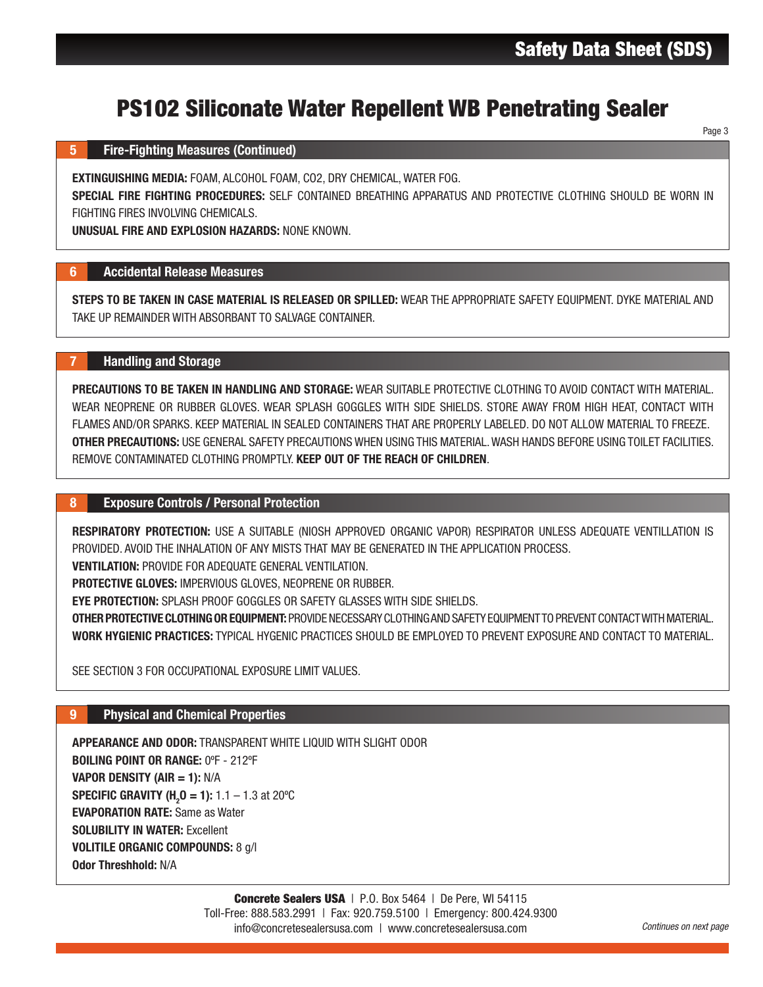Page 3

# PS102 Siliconate Water Repellent WB Penetrating Sealer

### 5 Fire-Fighting Measures (Continued)

EXTINGUISHING MEDIA: FOAM, ALCOHOL FOAM, CO2, DRY CHEMICAL, WATER FOG.

SPECIAL FIRE FIGHTING PROCEDURES: SELF CONTAINED BREATHING APPARATUS AND PROTECTIVE CLOTHING SHOULD BE WORN IN FIGHTING FIRES INVOLVING CHEMICALS.

UNUSUAL FIRE AND EXPLOSION HAZARDS: NONE KNOWN.

### 6 Accidental Release Measures

STEPS TO BE TAKEN IN CASE MATERIAL IS RELEASED OR SPILLED: WEAR THE APPROPRIATE SAFETY EQUIPMENT. DYKE MATERIAL AND TAKE UP REMAINDER WITH ABSORBANT TO SALVAGE CONTAINER.

# 7 Handling and Storage

**Repellent WB Penetrating Sealer Sheet (SPART)**<br>
HEMICAL, WATER FOG.<br>
HEMICAL, WATER FOG.<br>
PILLED: WEAR THE APPROPRIATE SAFETY EQUIPMENT. DYKE MATERIAL TO<br>
PILLED: WEAR THE APPROPRIATE SAFETY EQUIPMENT. DYKE MATERIAL<br>
F.R. PRECAUTIONS TO BE TAKEN IN HANDLING AND STORAGE: WEAR SUITABLE PROTECTIVE CLOTHING TO AVOID CONTACT WITH MATERIAL. WEAR NEOPRENE OR RUBBER GLOVES. WEAR SPLASH GOGGLES WITH SIDE SHIELDS. STORE AWAY FROM HIGH HEAT, CONTACT WITH FLAMES AND/OR SPARKS. KEEP MATERIAL IN SEALED CONTAINERS THAT ARE PROPERLY LABELED. DO NOT ALLOW MATERIAL TO FREEZE. OTHER PRECAUTIONS: USE GENERAL SAFETY PRECAUTIONS WHEN USING THIS MATERIAL. WASH HANDS BEFORE USING TOILET FACILITIES. REMOVE CONTAMINATED CLOTHING PROMPTLY. KEEP OUT OF THE REACH OF CHILDREN.

### 8 Exposure Controls / Personal Protection

RESPIRATORY PROTECTION: USE A SUITABLE (NIOSH APPROVED ORGANIC VAPOR) RESPIRATOR UNLESS ADEQUATE VENTILLATION IS PROVIDED. AVOID THE INHALATION OF ANY MISTS THAT MAY BE GENERATED IN THE APPLICATION PROCESS.

VENTILATION: PROVIDE FOR ADEQUATE GENERAL VENTILATION.

PROTECTIVE GLOVES: IMPERVIOUS GLOVES, NEOPRENE OR RUBBER.

EYE PROTECTION: SPLASH PROOF GOGGLES OR SAFETY GLASSES WITH SIDE SHIELDS.

OTHER PROTECTIVE CLOTHING OR EQUIPMENT: PROVIDE NECESSARY CLOTHING AND SAFETY EQUIPMENT TO PREVENT CONTACT WITH MATERIAL. WORK HYGIENIC PRACTICES: TYPICAL HYGENIC PRACTICES SHOULD BE EMPLOYED TO PREVENT EXPOSURE AND CONTACT TO MATERIAL.

SEE SECTION 3 FOR OCCUPATIONAL EXPOSURE LIMIT VALUES.

# 9 Physical and Chemical Properties

APPEARANCE AND ODOR: TRANSPARENT WHITE LIQUID WITH SLIGHT ODOR BOILING POINT OR RANGE: 0ºF - 212ºF VAPOR DENSITY (AIR = 1): N/A **SPECIFIC GRAVITY (H<sub>2</sub>0 = 1):** 1.1 – 1.3 at 20°C EVAPORATION RATE: Same as Water SOLUBILITY IN WATER: Excellent VOLITILE ORGANIC COMPOUNDS: 8 g/l Odor Threshhold: N/A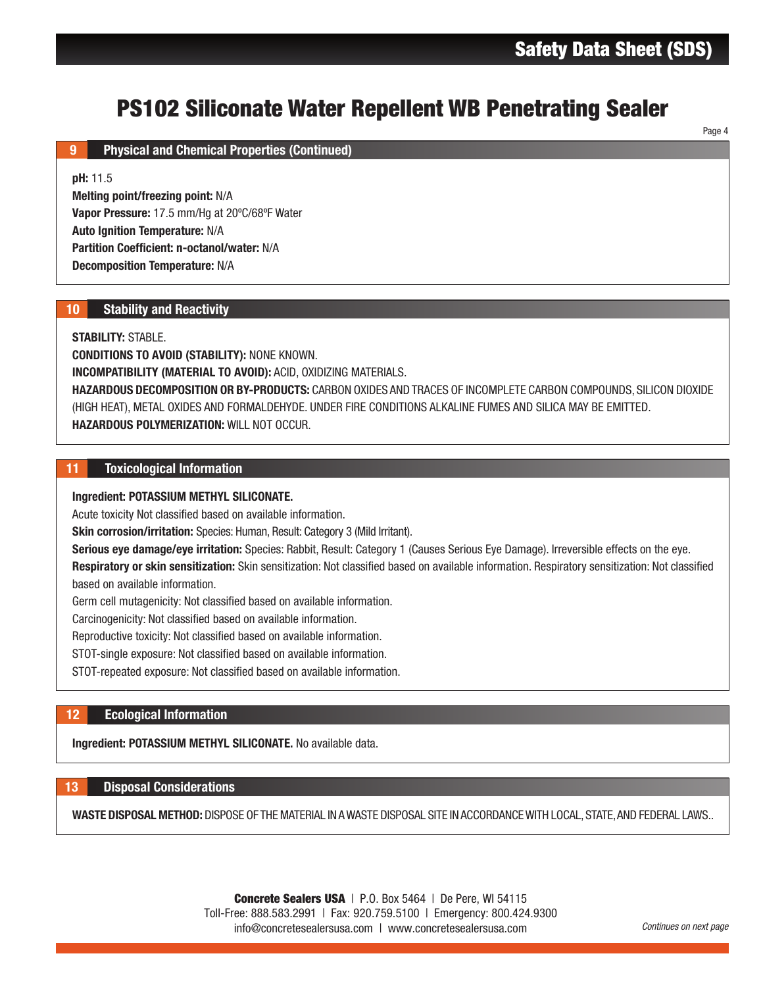Page 4

# PS102 Siliconate Water Repellent WB Penetrating Sealer

# 9 **Physical and Chemical Properties (Continued)**

### pH: 11.5

Melting point/freezing point: N/A Vapor Pressure: 17.5 mm/Hg at 20ºC/68ºF Water Auto Ignition Temperature: N/A Partition Coefficient: n-octanol/water: N/A Decomposition Temperature: N/A

# 10 Stability and Reactivity

### STABILITY: STABLE.

**Repellent WB Penetrating Sealer**<br>
MIERIALS.<br>
MIDER AND TRACES OF INCOMPLETE CARBON COMPOUNDS, SILICON DIOY<br>
E CONDITIONS ALKALINE FUMES AND SILICA MAY BE EMITTED.<br>
MIdI Infrarit,<br>
MidI Infrarit,<br>
MidI Infrarit,<br>
MidI Infr CONDITIONS TO AVOID (STABILITY): NONE KNOWN. INCOMPATIBILITY (MATERIAL TO AVOID): ACID, OXIDIZING MATERIALS. HAZARDOUS DECOMPOSITION OR BY-PRODUCTS: CARBON OXIDES AND TRACES OF INCOMPLETE CARBON COMPOUNDS, SILICON DIOXIDE (HIGH HEAT), METAL OXIDES AND FORMALDEHYDE. UNDER FIRE CONDITIONS ALKALINE FUMES AND SILICA MAY BE EMITTED. HAZARDOUS POLYMERIZATION: WILL NOT OCCUR.

### 11 Toxicological Information

#### Ingredient: POTASSIUM METHYL SILICONATE.

Acute toxicity Not classified based on available information.

**Skin corrosion/irritation:** Species: Human, Result: Category 3 (Mild Irritant).

Serious eye damage/eye irritation: Species: Rabbit, Result: Category 1 (Causes Serious Eye Damage). Irreversible effects on the eye.

Respiratory or skin sensitization: Skin sensitization: Not classified based on available information. Respiratory sensitization: Not classified based on available information.

Germ cell mutagenicity: Not classified based on available information.

Carcinogenicity: Not classified based on available information.

Reproductive toxicity: Not classified based on available information.

STOT-single exposure: Not classified based on available information.

STOT-repeated exposure: Not classified based on available information.

# 12 Ecological Information

Ingredient: POTASSIUM METHYL SILICONATE. No available data.

#### 13 Disposal Considerations

WASTE DISPOSAL METHOD: DISPOSE OF THE MATERIAL IN A WASTE DISPOSAL SITE IN ACCORDANCE WITH LOCAL, STATE, AND FEDERAL LAWS..